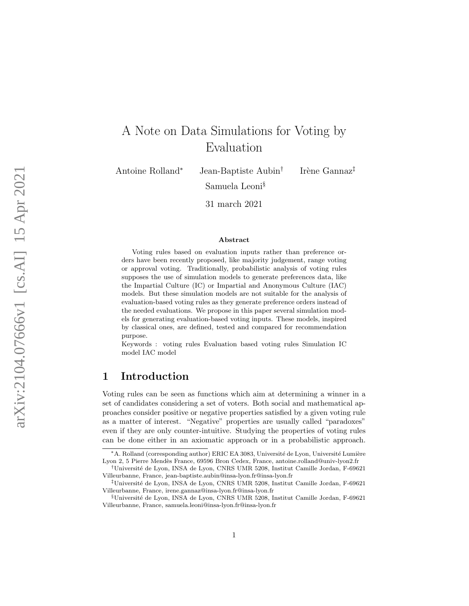# A Note on Data Simulations for Voting by Evaluation

Antoine Rolland

<sup>∗</sup> Jean-Baptiste Aubin † Samuela Leoni §

Irène Gannaz<sup>‡</sup>

31 march 2021

#### Abstract

Voting rules based on evaluation inputs rather than preference orders have been recently proposed, like majority judgement, range voting or approval voting. Traditionally, probabilistic analysis of voting rules supposes the use of simulation models to generate preferences data, like the Impartial Culture (IC) or Impartial and Anonymous Culture (IAC) models. But these simulation models are not suitable for the analysis of evaluation-based voting rules as they generate preference orders instead of the needed evaluations. We propose in this paper several simulation models for generating evaluation-based voting inputs. These models, inspired by classical ones, are defined, tested and compared for recommendation purpose.

Keywords : voting rules Evaluation based voting rules Simulation IC model IAC model

# 1 Introduction

Voting rules can be seen as functions which aim at determining a winner in a set of candidates considering a set of voters. Both social and mathematical approaches consider positive or negative properties satisfied by a given voting rule as a matter of interest. "Negative" properties are usually called "paradoxes" even if they are only counter-intuitive. Studying the properties of voting rules can be done either in an axiomatic approach or in a probabilistic approach.

<sup>\*</sup> A. Rolland (corresponding author) ERIC EA 3083, Université de Lyon, Université Lumière Lyon 2, 5 Pierre Mendès France, 69596 Bron Cedex, France, antoine.rolland@univ-lyon2.fr

<sup>†</sup>Universit´e de Lyon, INSA de Lyon, CNRS UMR 5208, Institut Camille Jordan, F-69621 Villeurbanne, France, jean-baptiste.aubin@insa-lyon.fr@insa-lyon.fr

<sup>‡</sup>Universit´e de Lyon, INSA de Lyon, CNRS UMR 5208, Institut Camille Jordan, F-69621 Villeurbanne, France, irene.gannaz@insa-lyon.fr@insa-lyon.fr

<sup>§</sup>Universit´e de Lyon, INSA de Lyon, CNRS UMR 5208, Institut Camille Jordan, F-69621 Villeurbanne, France, samuela.leoni@insa-lyon.fr@insa-lyon.fr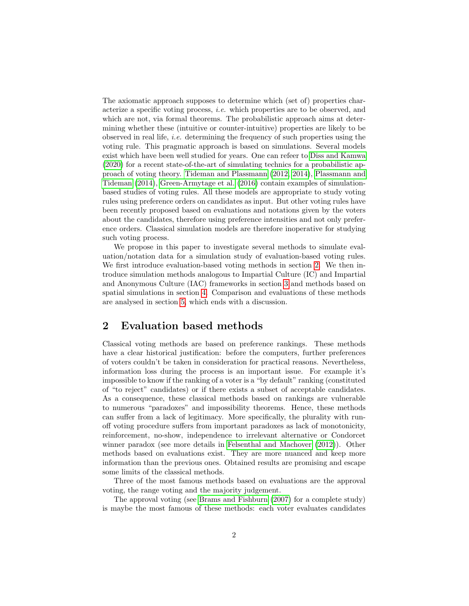The axiomatic approach supposes to determine which (set of) properties characterize a specific voting process, i.e. which properties are to be observed, and which are not, via formal theorems. The probabilistic approach aims at determining whether these (intuitive or counter-intuitive) properties are likely to be observed in real life, *i.e.* determining the frequency of such properties using the voting rule. This pragmatic approach is based on simulations. Several models exist which have been well studied for years. One can refeer to [Diss and Kamwa](#page-10-0) [\(2020\)](#page-10-0) for a recent state-of-the-art of simulating technics for a probabilistic approach of voting theory. [Tideman and Plassmann](#page-11-0) [\(2012,](#page-11-0) [2014\)](#page-11-1), [Plassmann and](#page-10-1) [Tideman](#page-10-1) [\(2014\)](#page-10-1), [Green-Armytage et al.](#page-10-2) [\(2016\)](#page-10-2) contain examples of simulationbased studies of voting rules. All these models are appropriate to study voting rules using preference orders on candidates as input. But other voting rules have been recently proposed based on evaluations and notations given by the voters about the candidates, therefore using preference intensities and not only preference orders. Classical simulation models are therefore inoperative for studying such voting process.

We propose in this paper to investigate several methods to simulate evaluation/notation data for a simulation study of evaluation-based voting rules. We first introduce evaluation-based voting methods in section [2.](#page-1-0) We then introduce simulation methods analogous to Impartial Culture (IC) and Impartial and Anonymous Culture (IAC) frameworks in section [3](#page-4-0) and methods based on spatial simulations in section [4.](#page-6-0) Comparison and evaluations of these methods are analysed in section [5,](#page-7-0) which ends with a discussion.

# <span id="page-1-0"></span>2 Evaluation based methods

Classical voting methods are based on preference rankings. These methods have a clear historical justification: before the computers, further preferences of voters couldn't be taken in consideration for practical reasons. Nevertheless, information loss during the process is an important issue. For example it's impossible to know if the ranking of a voter is a "by default" ranking (constituted of "to reject" candidates) or if there exists a subset of acceptable candidates. As a consequence, these classical methods based on rankings are vulnerable to numerous "paradoxes" and impossibility theorems. Hence, these methods can suffer from a lack of legitimacy. More specifically, the plurality with runoff voting procedure suffers from important paradoxes as lack of monotonicity, reinforcement, no-show, independence to irrelevant alternative or Condorcet winner paradox (see more details in [Felsenthal and Machover](#page-10-3) [\(2012\)](#page-10-3)). Other methods based on evaluations exist. They are more nuanced and keep more information than the previous ones. Obtained results are promising and escape some limits of the classical methods.

Three of the most famous methods based on evaluations are the approval voting, the range voting and the majority judgement.

The approval voting (see [Brams and Fishburn](#page-10-4) [\(2007\)](#page-10-4) for a complete study) is maybe the most famous of these methods: each voter evaluates candidates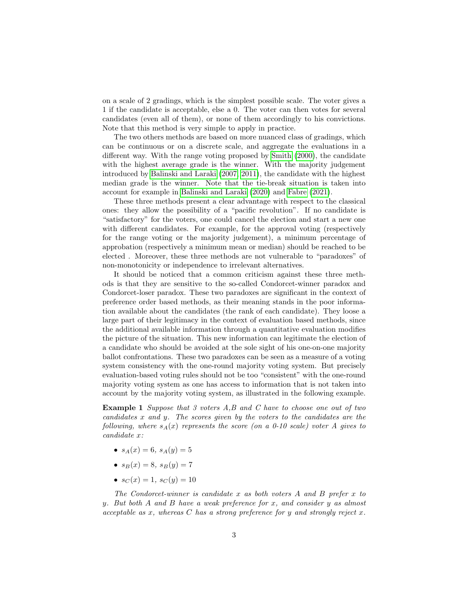on a scale of 2 gradings, which is the simplest possible scale. The voter gives a 1 if the candidate is acceptable, else a 0. The voter can then votes for several candidates (even all of them), or none of them accordingly to his convictions. Note that this method is very simple to apply in practice.

The two others methods are based on more nuanced class of gradings, which can be continuous or on a discrete scale, and aggregate the evaluations in a different way. With the range voting proposed by [Smith](#page-10-5) [\(2000\)](#page-10-5), the candidate with the highest average grade is the winner. With the majority judgement introduced by [Balinski and Laraki](#page-9-0) [\(2007,](#page-9-0) [2011\)](#page-9-1), the candidate with the highest median grade is the winner. Note that the tie-break situation is taken into account for example in [Balinski and Laraki](#page-9-2) [\(2020\)](#page-9-2) and [Fabre](#page-10-6) [\(2021\)](#page-10-6).

These three methods present a clear advantage with respect to the classical ones: they allow the possibility of a "pacific revolution". If no candidate is "satisfactory" for the voters, one could cancel the election and start a new one with different candidates. For example, for the approval voting (respectively for the range voting or the majority judgement), a minimum percentage of approbation (respectively a minimum mean or median) should be reached to be elected . Moreover, these three methods are not vulnerable to "paradoxes" of non-monotonicity or independence to irrelevant alternatives.

It should be noticed that a common criticism against these three methods is that they are sensitive to the so-called Condorcet-winner paradox and Condorcet-loser paradox. These two paradoxes are significant in the context of preference order based methods, as their meaning stands in the poor information available about the candidates (the rank of each candidate). They loose a large part of their legitimacy in the context of evaluation based methods, since the additional available information through a quantitative evaluation modifies the picture of the situation. This new information can legitimate the election of a candidate who should be avoided at the sole sight of his one-on-one majority ballot confrontations. These two paradoxes can be seen as a measure of a voting system consistency with the one-round majority voting system. But precisely evaluation-based voting rules should not be too "consistent" with the one-round majority voting system as one has access to information that is not taken into account by the majority voting system, as illustrated in the following example.

Example 1 Suppose that 3 voters A,B and C have to choose one out of two candidates x and y. The scores given by the voters to the candidates are the following, where  $s_A(x)$  represents the score (on a 0-10 scale) voter A gives to candidate x:

- $s_A(x) = 6$ ,  $s_A(y) = 5$
- $s_B(x) = 8$ ,  $s_B(y) = 7$
- $s_C(x) = 1, s_C(y) = 10$

The Condorcet-winner is candidate x as both voters A and B prefer x to y. But both A and B have a weak preference for x, and consider y as almost acceptable as  $x$ , whereas  $C$  has a strong preference for  $y$  and strongly reject  $x$ .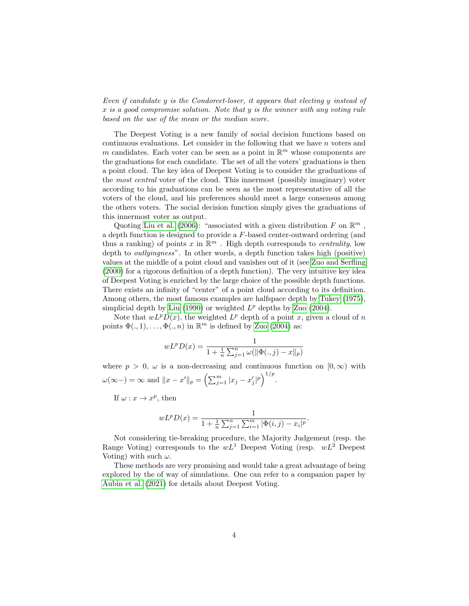Even if candidate y is the Condorcet-loser, it appears that electing y instead of x is a good compromise solution. Note that y is the winner with any voting rule based on the use of the mean or the median score.

The Deepest Voting is a new family of social decision functions based on continuous evaluations. Let consider in the following that we have  $n$  voters and m candidates. Each voter can be seen as a point in  $\mathbb{R}^m$  whose components are the graduations for each candidate. The set of all the voters' graduations is then a point cloud. The key idea of Deepest Voting is to consider the graduations of the most central voter of the cloud. This innermost (possibly imaginary) voter according to his graduations can be seen as the most representative of all the voters of the cloud, and his preferences should meet a large consensus among the others voters. The social decision function simply gives the graduations of this innermost voter as output.

Quoting [Liu et al.](#page-10-7) [\(2006\)](#page-10-7): "associated with a given distribution F on  $\mathbb{R}^m$ , a depth function is designed to provide a F-based center-outward ordering (and thus a ranking) of points x in  $\mathbb{R}^m$ . High depth corresponds to centrality, low depth to outlyingness". In other words, a depth function takes high (positive) values at the middle of a point cloud and vanishes out of it (see [Zuo and Serfling](#page-11-2) [\(2000\)](#page-11-2) for a rigorous definition of a depth function). The very intuitive key idea of Deepest Voting is enriched by the large choice of the possible depth functions. There exists an infinity of "center" of a point cloud according to its definition. Among others, the most famous examples are halfspace depth by [Tukey](#page-11-3) [\(1975\)](#page-11-3), simplicial depth by [Liu](#page-10-8) [\(1990\)](#page-10-8) or weighted  $L^p$  depths by [Zuo](#page-11-4) [\(2004\)](#page-11-4).

Note that  $wL^pD(x)$ , the weighted  $L^p$  depth of a point x, given a cloud of n points  $\Phi(.,1), \ldots, \Phi(.,n)$  in  $\mathbb{R}^m$  is defined by [Zuo](#page-11-4) [\(2004\)](#page-11-4) as:

$$
wL^p D(x) = \frac{1}{1 + \frac{1}{n} \sum_{j=1}^n \omega(\|\Phi(.,j) - x\|_p)}
$$

where  $p > 0$ ,  $\omega$  is a non-decreasing and continuous function on  $[0, \infty)$  with  $\omega(\infty-) = \infty$  and  $||x - x'||_p = \left(\sum_{j=1}^m |x_j - x'_j|^p\right)^{1/p}$ .

If  $\omega: x \to x^p$ , then

$$
wL^{p}D(x) = \frac{1}{1 + \frac{1}{n}\sum_{j=1}^{n}\sum_{i=1}^{m} |\Phi(i, j) - x_{i}|^{p}}.
$$

Not considering tie-breaking procedure, the Majority Judgement (resp. the Range Voting) corresponds to the  $wL^1$  Deepest Voting (resp.  $wL^2$  Deepest Voting) with such  $\omega$ .

These methods are very promising and would take a great advantage of being explored by the of way of simulations. One can refer to a companion paper by [Aubin et al.](#page-9-3) [\(2021\)](#page-9-3) for details about Deepest Voting.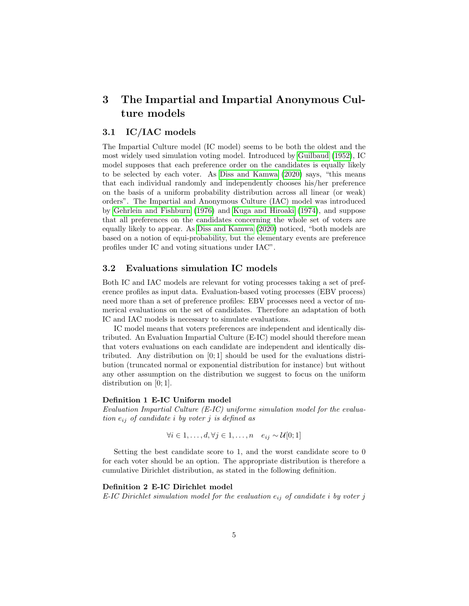# <span id="page-4-0"></span>3 The Impartial and Impartial Anonymous Culture models

## 3.1 IC/IAC models

The Impartial Culture model (IC model) seems to be both the oldest and the most widely used simulation voting model. Introduced by [Guilbaud](#page-10-9) [\(1952\)](#page-10-9), IC model supposes that each preference order on the candidates is equally likely to be selected by each voter. As [Diss and Kamwa](#page-10-0) [\(2020\)](#page-10-0) says, "this means that each individual randomly and independently chooses his/her preference on the basis of a uniform probability distribution across all linear (or weak) orders". The Impartial and Anonymous Culture (IAC) model was introduced by [Gehrlein and Fishburn](#page-10-10) [\(1976\)](#page-10-10) and [Kuga and Hiroaki](#page-10-11) [\(1974\)](#page-10-11), and suppose that all preferences on the candidates concerning the whole set of voters are equally likely to appear. As [Diss and Kamwa](#page-10-0) [\(2020\)](#page-10-0) noticed, "both models are based on a notion of equi-probability, but the elementary events are preference profiles under IC and voting situations under IAC".

#### 3.2 Evaluations simulation IC models

Both IC and IAC models are relevant for voting processes taking a set of preference profiles as input data. Evaluation-based voting processes (EBV process) need more than a set of preference profiles: EBV processes need a vector of numerical evaluations on the set of candidates. Therefore an adaptation of both IC and IAC models is necessary to simulate evaluations.

IC model means that voters preferences are independent and identically distributed. An Evaluation Impartial Culture (E-IC) model should therefore mean that voters evaluations on each candidate are independent and identically distributed. Any distribution on [0; 1] should be used for the evaluations distribution (truncated normal or exponential distribution for instance) but without any other assumption on the distribution we suggest to focus on the uniform distribution on [0; 1].

#### Definition 1 E-IC Uniform model

Evaluation Impartial Culture (E-IC) uniforme simulation model for the evaluation  $e_{ij}$  of candidate i by voter j is defined as

$$
\forall i \in 1, \ldots, d, \forall j \in 1, \ldots, n \quad e_{ij} \sim \mathcal{U}[0;1]
$$

Setting the best candidate score to 1, and the worst candidate score to 0 for each voter should be an option. The appropriate distribution is therefore a cumulative Dirichlet distribution, as stated in the following definition.

#### Definition 2 E-IC Dirichlet model

E-IC Dirichlet simulation model for the evaluation  $e_{ij}$  of candidate i by voter j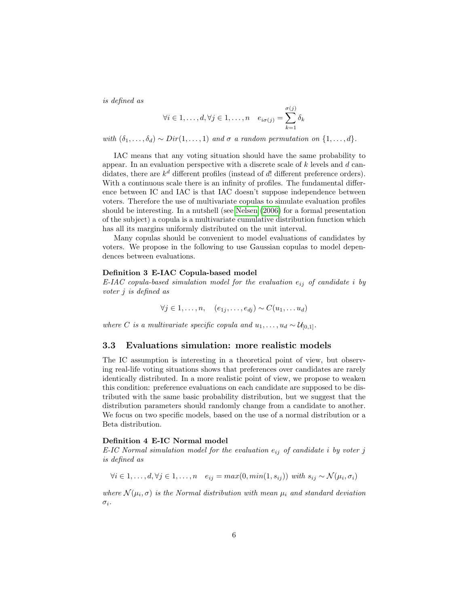is defined as

$$
\forall i \in 1, \dots, d, \forall j \in 1, \dots, n \quad e_{i\sigma(j)} = \sum_{k=1}^{\sigma(j)} \delta_k
$$

with  $(\delta_1, \ldots, \delta_d) \sim Dir(1, \ldots, 1)$  and  $\sigma$  a random permutation on  $\{1, \ldots, d\}$ .

IAC means that any voting situation should have the same probability to appear. In an evaluation perspective with a discrete scale of k levels and d candidates, there are  $k^d$  different profiles (instead of d! different preference orders). With a continuous scale there is an infinity of profiles. The fundamental difference between IC and IAC is that IAC doesn't suppose independence between voters. Therefore the use of multivariate copulas to simulate evaluation profiles should be interesting. In a nutshell (see [Nelsen](#page-10-12) [\(2006\)](#page-10-12) for a formal presentation of the subject) a copula is a multivariate cumulative distribution function which has all its margins uniformly distributed on the unit interval.

Many copulas should be convenient to model evaluations of candidates by voters. We propose in the following to use Gaussian copulas to model dependences between evaluations.

#### Definition 3 E-IAC Copula-based model

E-IAC copula-based simulation model for the evaluation  $e_{ij}$  of candidate i by voter j is defined as

$$
\forall j \in 1, \ldots, n, \quad (e_{1j}, \ldots, e_{dj}) \sim C(u_1, \ldots, u_d)
$$

where C is a multivariate specific copula and  $u_1, \ldots, u_d \sim \mathcal{U}_{[0,1]}$ .

### 3.3 Evaluations simulation: more realistic models

The IC assumption is interesting in a theoretical point of view, but observing real-life voting situations shows that preferences over candidates are rarely identically distributed. In a more realistic point of view, we propose to weaken this condition: preference evaluations on each candidate are supposed to be distributed with the same basic probability distribution, but we suggest that the distribution parameters should randomly change from a candidate to another. We focus on two specific models, based on the use of a normal distribution or a Beta distribution.

#### Definition 4 E-IC Normal model

E-IC Normal simulation model for the evaluation  $e_{ij}$  of candidate i by voter j is defined as

$$
\forall i \in 1, \ldots, d, \forall j \in 1, \ldots, n \quad e_{ij} = max(0, min(1, s_{ij})) \text{ with } s_{ij} \sim \mathcal{N}(\mu_i, \sigma_i)
$$

where  $\mathcal{N}(\mu_i, \sigma)$  is the Normal distribution with mean  $\mu_i$  and standard deviation  $\sigma_i$ .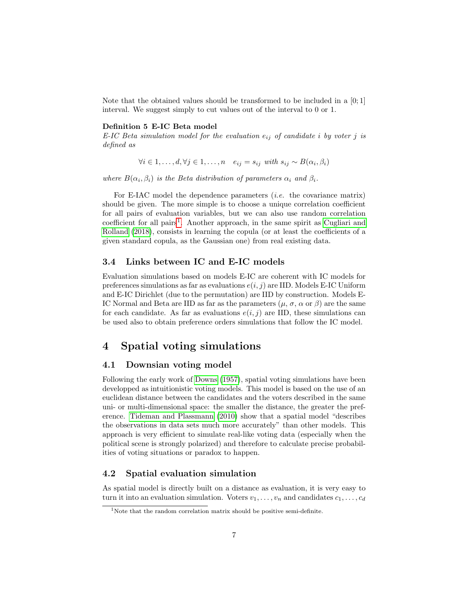Note that the obtained values should be transformed to be included in a  $[0,1]$ interval. We suggest simply to cut values out of the interval to 0 or 1.

#### Definition 5 E-IC Beta model

E-IC Beta simulation model for the evaluation  $e_{ij}$  of candidate i by voter j is defined as

 $\forall i \in 1, \ldots, d, \forall j \in 1, \ldots, n \quad e_{ij} = s_{ij} \text{ with } s_{ij} \sim B(\alpha_i, \beta_i)$ 

where  $B(\alpha_i, \beta_i)$  is the Beta distribution of parameters  $\alpha_i$  and  $\beta_i$ .

For E-IAC model the dependence parameters *(i.e.* the covariance matrix) should be given. The more simple is to choose a unique correlation coefficient for all pairs of evaluation variables, but we can also use random correlation coefficient for all pairs<sup>[1](#page-6-1)</sup>. Another approach, in the same spirit as [Cugliari and](#page-10-13) [Rolland](#page-10-13) [\(2018\)](#page-10-13), consists in learning the copula (or at least the coefficients of a given standard copula, as the Gaussian one) from real existing data.

### 3.4 Links between IC and E-IC models

Evaluation simulations based on models E-IC are coherent with IC models for preferences simulations as far as evaluations  $e(i, j)$  are IID. Models E-IC Uniform and E-IC Dirichlet (due to the permutation) are IID by construction. Models E-IC Normal and Beta are IID as far as the parameters  $(\mu, \sigma, \alpha \text{ or } \beta)$  are the same for each candidate. As far as evaluations  $e(i, j)$  are IID, these simulations can be used also to obtain preference orders simulations that follow the IC model.

# <span id="page-6-0"></span>4 Spatial voting simulations

### 4.1 Downsian voting model

Following the early work of [Downs](#page-10-14) [\(1957\)](#page-10-14), spatial voting simulations have been developped as intuitionistic voting models. This model is based on the use of an euclidean distance between the candidates and the voters described in the same uni- or multi-dimensional space: the smaller the distance, the greater the preference. [Tideman and Plassmann](#page-10-15) [\(2010\)](#page-10-15) show that a spatial model "describes the observations in data sets much more accurately" than other models. This approach is very efficient to simulate real-like voting data (especially when the political scene is strongly polarized) and therefore to calculate precise probabilities of voting situations or paradox to happen.

### 4.2 Spatial evaluation simulation

As spatial model is directly built on a distance as evaluation, it is very easy to turn it into an evaluation simulation. Voters  $v_1, \ldots, v_n$  and candidates  $c_1, \ldots, c_d$ 

<span id="page-6-1"></span> $1$ Note that the random correlation matrix should be positive semi-definite.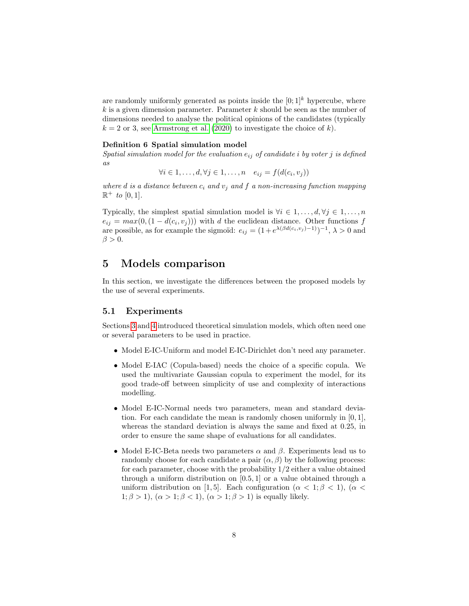are randomly uniformly generated as points inside the  $[0,1]^k$  hypercube, where  $k$  is a given dimension parameter. Parameter  $k$  should be seen as the number of dimensions needed to analyse the political opinions of the candidates (typically  $k = 2$  or 3, see [Armstrong et al.](#page-9-4) [\(2020\)](#page-9-4) to investigate the choice of k).

#### Definition 6 Spatial simulation model

Spatial simulation model for the evaluation  $e_{ij}$  of candidate i by voter j is defined as

 $\forall i \in 1, \ldots, d, \forall j \in 1, \ldots, n \quad e_{ij} = f(d(c_i, v_j))$ 

where d is a distance between  $c_i$  and  $v_j$  and f a non-increasing function mapping  $\mathbb{R}^+$  to [0, 1].

Typically, the simplest spatial simulation model is  $\forall i \in 1, \ldots, d, \forall j \in 1, \ldots, n$  $e_{ij} = max(0, (1 - d(c_i, v_j)))$  with d the euclidean distance. Other functions f are possible, as for example the sigmoïd:  $e_{ij} = (1 + e^{\lambda(\beta d(c_i, v_j) - 1)})^{-1}, \lambda > 0$  and  $\beta > 0$ .

# <span id="page-7-0"></span>5 Models comparison

In this section, we investigate the differences between the proposed models by the use of several experiments.

### 5.1 Experiments

Sections [3](#page-4-0) and [4](#page-6-0) introduced theoretical simulation models, which often need one or several parameters to be used in practice.

- Model E-IC-Uniform and model E-IC-Dirichlet don't need any parameter.
- Model E-IAC (Copula-based) needs the choice of a specific copula. We used the multivariate Gaussian copula to experiment the model, for its good trade-off between simplicity of use and complexity of interactions modelling.
- Model E-IC-Normal needs two parameters, mean and standard deviation. For each candidate the mean is randomly chosen uniformly in [0, 1], whereas the standard deviation is always the same and fixed at 0.25, in order to ensure the same shape of evaluations for all candidates.
- Model E-IC-Beta needs two parameters  $\alpha$  and  $\beta$ . Experiments lead us to randomly choose for each candidate a pair  $(\alpha, \beta)$  by the following process: for each parameter, choose with the probability 1/2 either a value obtained through a uniform distribution on [0.5, 1] or a value obtained through a uniform distribution on [1, 5]. Each configuration ( $\alpha < 1, \beta < 1$ ), ( $\alpha <$  $1; \beta > 1$ ,  $(\alpha > 1; \beta < 1)$ ,  $(\alpha > 1; \beta > 1)$  is equally likely.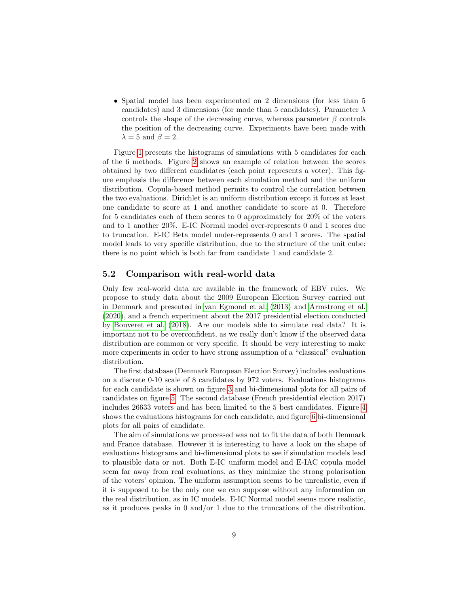• Spatial model has been experimented on 2 dimensions (for less than 5) candidates) and 3 dimensions (for mode than 5 candidates). Parameter  $\lambda$ controls the shape of the decreasing curve, whereas parameter  $\beta$  controls the position of the decreasing curve. Experiments have been made with  $\lambda = 5$  and  $\beta = 2$ .

Figure [1](#page-12-0) presents the histograms of simulations with 5 candidates for each of the 6 methods. Figure [2](#page-13-0) shows an example of relation between the scores obtained by two different candidates (each point represents a voter). This figure emphasis the difference between each simulation method and the uniform distribution. Copula-based method permits to control the correlation between the two evaluations. Dirichlet is an uniform distribution except it forces at least one candidate to score at 1 and another candidate to score at 0. Therefore for 5 candidates each of them scores to 0 approximately for 20% of the voters and to 1 another 20%. E-IC Normal model over-represents 0 and 1 scores due to truncation. E-IC Beta model under-represents 0 and 1 scores. The spatial model leads to very specific distribution, due to the structure of the unit cube: there is no point which is both far from candidate 1 and candidate 2.

#### 5.2 Comparison with real-world data

Only few real-world data are available in the framework of EBV rules. We propose to study data about the 2009 European Election Survey carried out in Denmark and presented in [van Egmond et al.](#page-11-5) [\(2013\)](#page-11-5) and [Armstrong et al.](#page-9-4) [\(2020\)](#page-9-4), and a french experiment about the 2017 presidential election conducted by [Bouveret et al.](#page-9-5) [\(2018\)](#page-9-5). Are our models able to simulate real data? It is important not to be overconfident, as we really don't know if the observed data distribution are common or very specific. It should be very interesting to make more experiments in order to have strong assumption of a "classical" evaluation distribution.

The first database (Denmark European Election Survey) includes evaluations on a discrete 0-10 scale of 8 candidates by 972 voters. Evaluations histograms for each candidate is shown on figure [3](#page-14-0) and bi-dimensional plots for all pairs of candidates on figure [5.](#page-15-0) The second database (French presidential election 2017) includes 26633 voters and has been limited to the 5 best candidates. Figure [4](#page-14-1) shows the evaluations histograms for each candidate, and figure [6](#page-16-0) bi-dimensional plots for all pairs of candidate.

The aim of simulations we processed was not to fit the data of both Denmark and France database. However it is interesting to have a look on the shape of evaluations histograms and bi-dimensional plots to see if simulation models lead to plausible data or not. Both E-IC uniform model and E-IAC copula model seem far away from real evaluations, as they minimize the strong polarisation of the voters' opinion. The uniform assumption seems to be unrealistic, even if it is supposed to be the only one we can suppose without any information on the real distribution, as in IC models. E-IC Normal model seems more realistic, as it produces peaks in 0 and/or 1 due to the truncations of the distribution.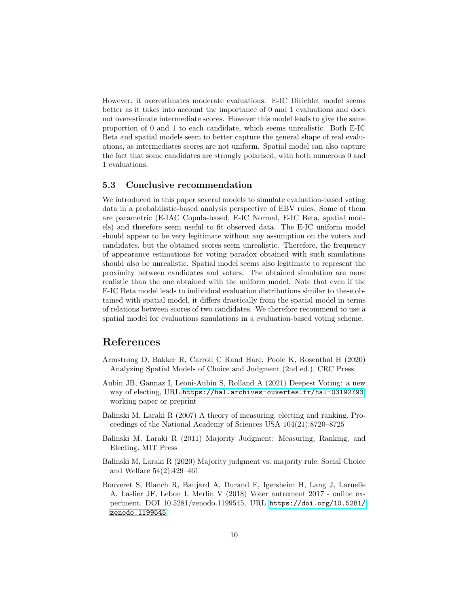However, it overestimates moderate evaluations. E-IC Dirichlet model seems better as it takes into account the importance of 0 and 1 evaluations and does not overestimate intermediate scores. However this model leads to give the same proportion of 0 and 1 to each candidate, which seems unrealistic. Both E-IC Beta and spatial models seem to better capture the general shape of real evaluations, as intermediates scores are not uniform. Spatial model can also capture the fact that some candidates are strongly polarized, with both numerous 0 and 1 evaluations.

### 5.3 Conclusive recommendation

We introduced in this paper several models to simulate evaluation-based voting data in a probabilistic-based analysis perspective of EBV rules. Some of them are parametric (E-IAC Copula-based, E-IC Normal, E-IC Beta, spatial models) and therefore seem useful to fit observed data. The E-IC uniform model should appear to be very legitimate without any assumption on the voters and candidates, but the obtained scores seem unrealistic. Therefore, the frequency of appearance estimations for voting paradox obtained with such simulations should also be unrealistic. Spatial model seems also legitimate to represent the proximity between candidates and voters. The obtained simulation are more realistic than the one obtained with the uniform model. Note that even if the E-IC Beta model leads to individual evaluation distributions similar to these obtained with spatial model, it differs drastically from the spatial model in terms of relations between scores of two candidates. We therefore recommend to use a spatial model for evaluations simulations in a evaluation-based voting scheme.

# References

- <span id="page-9-4"></span>Armstrong D, Bakker R, Carroll C Rand Hare, Poole K, Rosenthal H (2020) Analyzing Spatial Models of Choice and Judgment (2nd ed.). CRC Press
- <span id="page-9-3"></span>Aubin JB, Gannaz I, Leoni-Aubin S, Rolland A (2021) Deepest Voting: a new way of electing, URL <https://hal.archives-ouvertes.fr/hal-03192793>, working paper or preprint
- <span id="page-9-0"></span>Balinski M, Laraki R (2007) A theory of measuring, electing and ranking. Proceedings of the National Academy of Sciences USA 104(21):8720–8725
- <span id="page-9-1"></span>Balinski M, Laraki R (2011) Majority Judgment; Measuring, Ranking, and Electing. MIT Press
- <span id="page-9-2"></span>Balinski M, Laraki R (2020) Majority judgment vs. majority rule. Social Choice and Welfare 54(2):429–461
- <span id="page-9-5"></span>Bouveret S, Blanch R, Baujard A, Durand F, Igersheim H, Lang J, Laruelle A, Laslier JF, Lebon I, Merlin V (2018) Voter autrement 2017 - online experiment. DOI 10.5281/zenodo.1199545, URL [https://doi.org/10.5281/](https://doi.org/10.5281/zenodo.1199545) [zenodo.1199545](https://doi.org/10.5281/zenodo.1199545)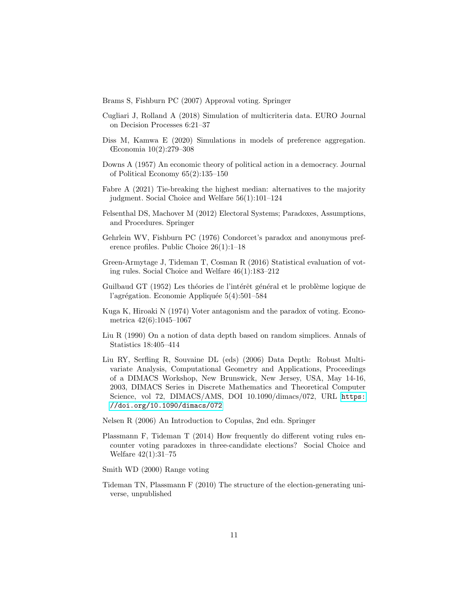<span id="page-10-4"></span>Brams S, Fishburn PC (2007) Approval voting. Springer

- <span id="page-10-13"></span>Cugliari J, Rolland A (2018) Simulation of multicriteria data. EURO Journal on Decision Processes 6:21–37
- <span id="page-10-0"></span>Diss M, Kamwa E (2020) Simulations in models of preference aggregation. Œconomia 10(2):279–308
- <span id="page-10-14"></span>Downs A (1957) An economic theory of political action in a democracy. Journal of Political Economy 65(2):135–150
- <span id="page-10-6"></span>Fabre A (2021) Tie-breaking the highest median: alternatives to the majority judgment. Social Choice and Welfare 56(1):101–124
- <span id="page-10-3"></span>Felsenthal DS, Machover M (2012) Electoral Systems; Paradoxes, Assumptions, and Procedures. Springer
- <span id="page-10-10"></span>Gehrlein WV, Fishburn PC (1976) Condorcet's paradox and anonymous preference profiles. Public Choice 26(1):1–18
- <span id="page-10-2"></span>Green-Armytage J, Tideman T, Cosman R (2016) Statistical evaluation of voting rules. Social Choice and Welfare 46(1):183–212
- <span id="page-10-9"></span>Guilbaud GT (1952) Les théories de l'intérêt général et le problème logique de l'agrégation. Economie Appliquée  $5(4):501-584$
- <span id="page-10-11"></span>Kuga K, Hiroaki N (1974) Voter antagonism and the paradox of voting. Econometrica 42(6):1045–1067
- <span id="page-10-8"></span>Liu R (1990) On a notion of data depth based on random simplices. Annals of Statistics 18:405–414
- <span id="page-10-7"></span>Liu RY, Serfling R, Souvaine DL (eds) (2006) Data Depth: Robust Multivariate Analysis, Computational Geometry and Applications, Proceedings of a DIMACS Workshop, New Brunswick, New Jersey, USA, May 14-16, 2003, DIMACS Series in Discrete Mathematics and Theoretical Computer Science, vol 72, DIMACS/AMS, DOI 10.1090/dimacs/072, URL [https:](https://doi.org/10.1090/dimacs/072) [//doi.org/10.1090/dimacs/072](https://doi.org/10.1090/dimacs/072)
- <span id="page-10-12"></span>Nelsen R (2006) An Introduction to Copulas, 2nd edn. Springer
- <span id="page-10-1"></span>Plassmann F, Tideman T (2014) How frequently do different voting rules encounter voting paradoxes in three-candidate elections? Social Choice and Welfare 42(1):31–75
- <span id="page-10-5"></span>Smith WD (2000) Range voting
- <span id="page-10-15"></span>Tideman TN, Plassmann F (2010) The structure of the election-generating universe, unpublished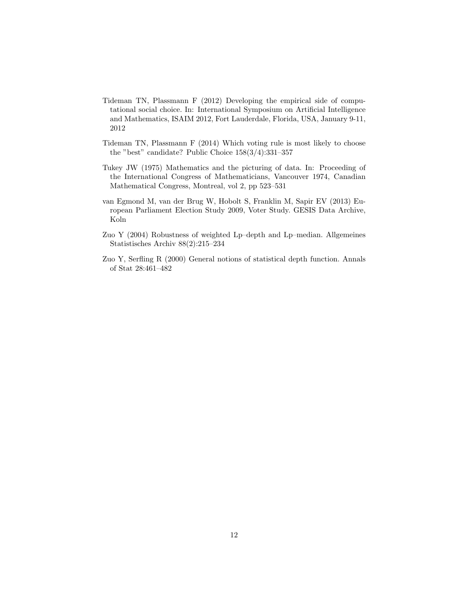- <span id="page-11-0"></span>Tideman TN, Plassmann F (2012) Developing the empirical side of computational social choice. In: International Symposium on Artificial Intelligence and Mathematics, ISAIM 2012, Fort Lauderdale, Florida, USA, January 9-11, 2012
- <span id="page-11-1"></span>Tideman TN, Plassmann F (2014) Which voting rule is most likely to choose the "best" candidate? Public Choice 158(3/4):331–357
- <span id="page-11-3"></span>Tukey JW (1975) Mathematics and the picturing of data. In: Proceeding of the International Congress of Mathematicians, Vancouver 1974, Canadian Mathematical Congress, Montreal, vol 2, pp 523–531
- <span id="page-11-5"></span>van Egmond M, van der Brug W, Hobolt S, Franklin M, Sapir EV (2013) European Parliament Election Study 2009, Voter Study. GESIS Data Archive, Koln
- <span id="page-11-4"></span>Zuo Y (2004) Robustness of weighted Lp–depth and Lp–median. Allgemeines Statistisches Archiv 88(2):215–234
- <span id="page-11-2"></span>Zuo Y, Serfling R (2000) General notions of statistical depth function. Annals of Stat 28:461–482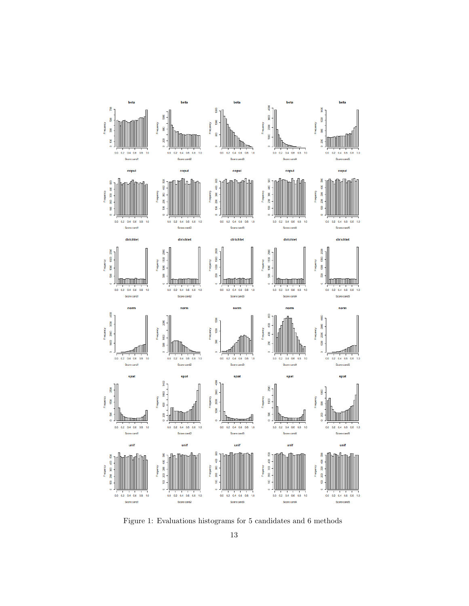

<span id="page-12-0"></span>Figure 1: Evaluations histograms for 5 candidates and 6 methods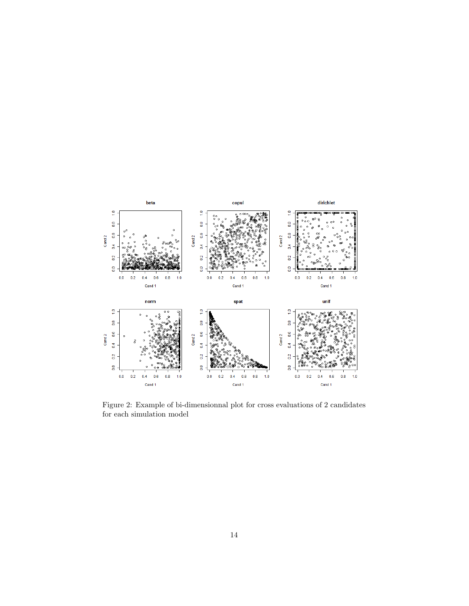

<span id="page-13-0"></span>Figure 2: Example of bi-dimensionnal plot for cross evaluations of 2 candidates for each simulation model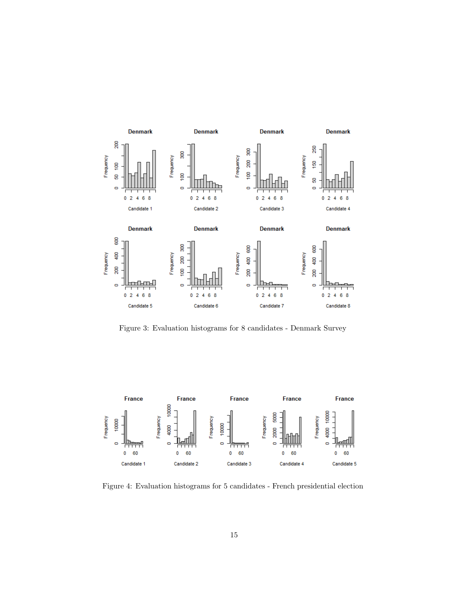

<span id="page-14-0"></span>Figure 3: Evaluation histograms for 8 candidates - Denmark Survey



<span id="page-14-1"></span>Figure 4: Evaluation histograms for 5 candidates - French presidential election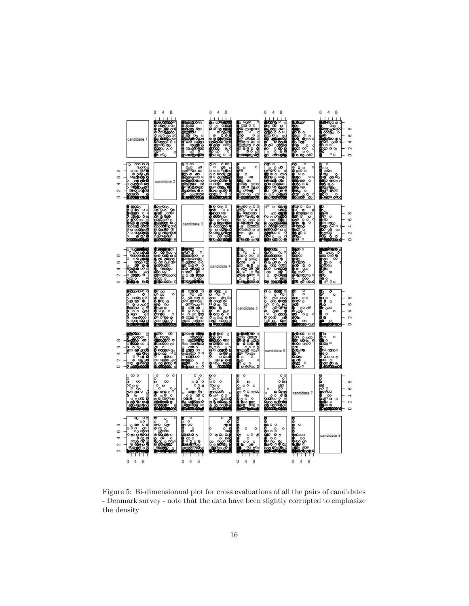

<span id="page-15-0"></span>Figure 5: Bi-dimensionnal plot for cross evaluations of all the pairs of candidates - Denmark survey - note that the data have been slightly corrupted to emphasize the density